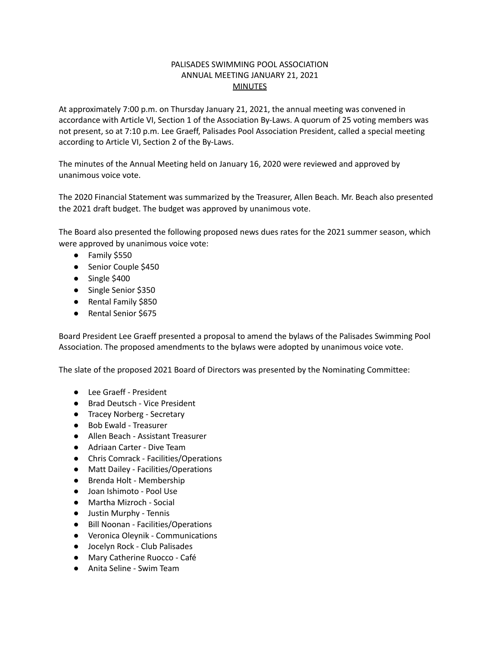## PALISADES SWIMMING POOL ASSOCIATION ANNUAL MEETING JANUARY 21, 2021 **MINUTES**

At approximately 7:00 p.m. on Thursday January 21, 2021, the annual meeting was convened in accordance with Article VI, Section 1 of the Association By-Laws. A quorum of 25 voting members was not present, so at 7:10 p.m. Lee Graeff, Palisades Pool Association President, called a special meeting according to Article VI, Section 2 of the By-Laws.

The minutes of the Annual Meeting held on January 16, 2020 were reviewed and approved by unanimous voice vote.

The 2020 Financial Statement was summarized by the Treasurer, Allen Beach. Mr. Beach also presented the 2021 draft budget. The budget was approved by unanimous vote.

The Board also presented the following proposed news dues rates for the 2021 summer season, which were approved by unanimous voice vote:

- Family \$550
- Senior Couple \$450
- Single \$400
- Single Senior \$350
- Rental Family \$850
- Rental Senior \$675

Board President Lee Graeff presented a proposal to amend the bylaws of the Palisades Swimming Pool Association. The proposed amendments to the bylaws were adopted by unanimous voice vote.

The slate of the proposed 2021 Board of Directors was presented by the Nominating Committee:

- Lee Graeff President
- Brad Deutsch Vice President
- Tracey Norberg Secretary
- Bob Ewald Treasurer
- Allen Beach Assistant Treasurer
- Adriaan Carter Dive Team
- Chris Comrack Facilities/Operations
- Matt Dailey Facilities/Operations
- Brenda Holt Membership
- Joan Ishimoto Pool Use
- Martha Mizroch Social
- Justin Murphy Tennis
- Bill Noonan Facilities/Operations
- Veronica Oleynik Communications
- Jocelyn Rock Club Palisades
- Mary Catherine Ruocco Café
- Anita Seline Swim Team